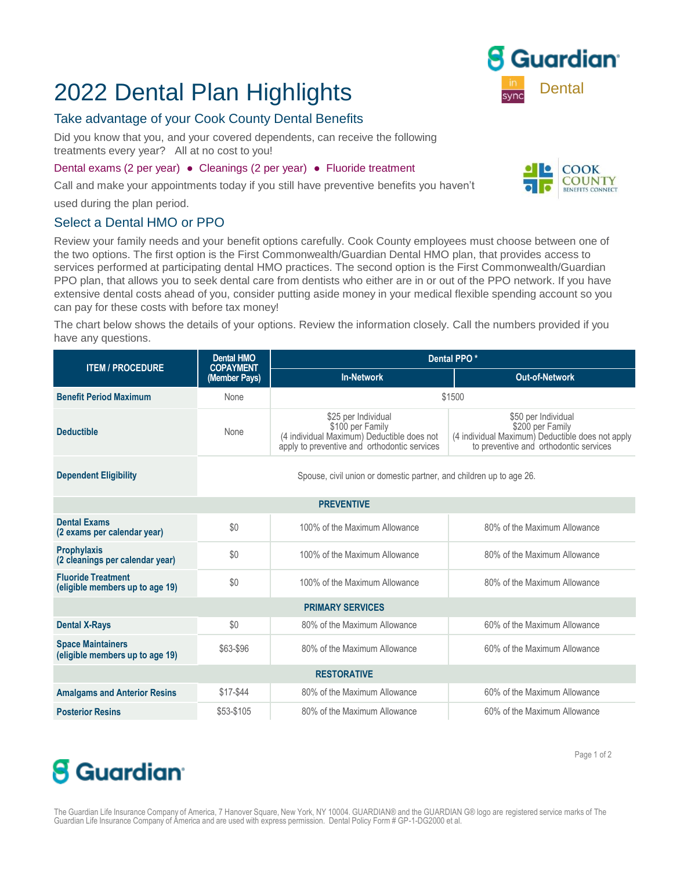### 2022 Dental Plan Highlights **Dental** Bental

### Take advantage of your Cook County Dental Benefits

Did you know that you, and your covered dependents, can receive the following treatments every year? All at no cost to you!

#### Dental exams (2 per year) ● Cleanings (2 per year) ● Fluoride treatment

Call and make your appointments today if you still have preventive benefits you haven't

used during the plan period.

#### Select a Dental HMO or PPO

Review your family needs and your benefit options carefully. Cook County employees must choose between one of the two options. The first option is the First Commonwealth/Guardian Dental HMO plan, that provides access to services performed at participating dental HMO practices. The second option is the First Commonwealth/Guardian PPO plan, that allows you to seek dental care from dentists who either are in or out of the PPO network. If you have extensive dental costs ahead of you, consider putting aside money in your medical flexible spending account so you can pay for these costs with before tax money!

The chart below shows the details of your options. Review the information closely. Call the numbers provided if you have any questions.

| <b>ITEM / PROCEDURE</b>                                      | <b>Dental HMO</b><br><b>COPAYMENT</b>                               | Dental PPO*                                                                                                                           |                                                                                                                                       |  |  |  |  |  |  |
|--------------------------------------------------------------|---------------------------------------------------------------------|---------------------------------------------------------------------------------------------------------------------------------------|---------------------------------------------------------------------------------------------------------------------------------------|--|--|--|--|--|--|
|                                                              | (Member Pays)                                                       | <b>In-Network</b>                                                                                                                     | <b>Out-of-Network</b>                                                                                                                 |  |  |  |  |  |  |
| <b>Benefit Period Maximum</b>                                | None                                                                | \$1500                                                                                                                                |                                                                                                                                       |  |  |  |  |  |  |
| <b>Deductible</b>                                            | None                                                                | \$25 per Individual<br>\$100 per Family<br>(4 individual Maximum) Deductible does not<br>apply to preventive and orthodontic services | \$50 per Individual<br>\$200 per Family<br>(4 individual Maximum) Deductible does not apply<br>to preventive and orthodontic services |  |  |  |  |  |  |
| <b>Dependent Eligibility</b>                                 | Spouse, civil union or domestic partner, and children up to age 26. |                                                                                                                                       |                                                                                                                                       |  |  |  |  |  |  |
| <b>PREVENTIVE</b>                                            |                                                                     |                                                                                                                                       |                                                                                                                                       |  |  |  |  |  |  |
| <b>Dental Exams</b><br>(2 exams per calendar year)           | \$0                                                                 | 100% of the Maximum Allowance                                                                                                         | 80% of the Maximum Allowance                                                                                                          |  |  |  |  |  |  |
| <b>Prophylaxis</b><br>(2 cleanings per calendar year)        | \$0                                                                 | 100% of the Maximum Allowance                                                                                                         | 80% of the Maximum Allowance                                                                                                          |  |  |  |  |  |  |
| <b>Fluoride Treatment</b><br>(eligible members up to age 19) | \$0                                                                 | 100% of the Maximum Allowance                                                                                                         | 80% of the Maximum Allowance                                                                                                          |  |  |  |  |  |  |
| <b>PRIMARY SERVICES</b>                                      |                                                                     |                                                                                                                                       |                                                                                                                                       |  |  |  |  |  |  |
| <b>Dental X-Rays</b>                                         | \$0                                                                 | 80% of the Maximum Allowance                                                                                                          | 60% of the Maximum Allowance                                                                                                          |  |  |  |  |  |  |
| <b>Space Maintainers</b><br>(eligible members up to age 19)  | \$63-\$96                                                           | 80% of the Maximum Allowance                                                                                                          | 60% of the Maximum Allowance                                                                                                          |  |  |  |  |  |  |
| <b>RESTORATIVE</b>                                           |                                                                     |                                                                                                                                       |                                                                                                                                       |  |  |  |  |  |  |
| <b>Amalgams and Anterior Resins</b>                          | \$17-\$44                                                           | 80% of the Maximum Allowance                                                                                                          | 60% of the Maximum Allowance                                                                                                          |  |  |  |  |  |  |
| <b>Posterior Resins</b>                                      | \$53-\$105                                                          | 80% of the Maximum Allowance                                                                                                          | 60% of the Maximum Allowance                                                                                                          |  |  |  |  |  |  |

# **8** Guardian<sup>®</sup>

The Guardian Life Insurance Company of America, 7 Hanover Square, New York, NY 10004. GUARDIAN® and the GUARDIAN G® logo are registered service marks of The Guardian Life Insurance Company of America and are used with express permission. Dental Policy Form # GP-1-DG2000 et al.



COOK **COUNTY** 

Page 1 of 2